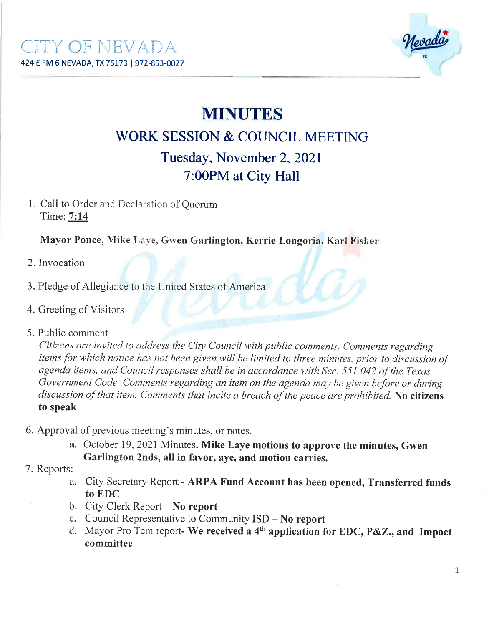

# MINUTES

## V/ORK SESSION & COUNCIL MEETING Tuesday, November 2, 2021 7:00PM at Cirv Hall

1. Call to Order and Declaration of Quorum Time: 7:14

Mayor Ponce, Mike Laye, Gwen Garlington, Kerrie Longoria, Karl Fisher

- 2. Invocation
- 3. Pledge of Allegiance to the United States of America
- 4. Greeting of Visitors
- 5. Public comment

Citizens are invited to address the City Council with public comments. Comments regarding items for which notice has not been given will be limited to three minutes, prior to discussion of agenda items, and Council responses shall be in accordance with Sec. 551.042 of the Texas Government Code. Comments regarding an item on the agenda may be given before or during discussion of that item. Comments that incite a breach of the peace are prohibited. No citizens to speak

- 6. Approval of previous meeting's minutes, or notes.
	- a. October 19, 2021 Minutes. Mike Laye motions to approve the minutes, Gwen Garlington 2nds, all in favor, aye, and motion carries.
- 7. Reports:
	- a. City Secretary Report ARPA Fund Account has been opened, Transferred funds to EDC
	- b. City Clerk Report No report
	- c. Council Representative to Community  $ISD No$  report
	- d. Mayor Pro Tem report- We received a  $4<sup>th</sup>$  application for EDC, P&Z., and Impact committee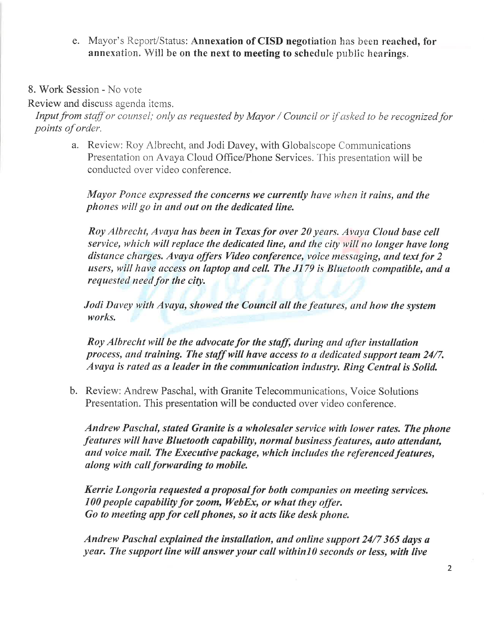- e. Mayor's Repot/Status: Annexation of CISD negotiation has been reached, for annexation. Will be on the next to meeting to schedule public hearings.
- 8. Work Session No vote

Review and discuss agenda items.

Input from staff or counsel; only as requested by Mayor / Council or if asked to be recognized for points of order.

a. Review: Roy Albrecht, and Jodi Davey, with Globalscope Communications Presentation on Avaya Cloud Office/Phone Services. This presentation will be conducted over video conference.

Mayor Ponce expressed the concerns we currently have when it rains, and the phones will go in and out on the dedicated line.

Roy Albrecht, Avaya has been in Texas for over 20 years. Avaya Cloud base cell service, which will replace the dedicated line, and the city will no longer have long distance charges. Avaya offers Video conference, voice messaging, and text for 2 users, will have access on laptop and cell. The  $J179$  is Bluetooth compatible, and a requested need for the city.

Jodi Davey with Avaya, showed the Council all the features, and how the system works.

Roy Albrecht will be the advocate for the staff, during and after installation process, and training. The staff will have access to a dedicated support team 24/7. Avaya is rated as a leader in the communication industry. Ring Central is Solid.

b. Review: Andrew Paschal, with Granite Telecommunications, Voice Solutions Presentation. This presentation will be conducted over video conference.

Andrew Paschal, stated Granite is a wholesaler service with lower rates. The phone features will have Bluetooth capability, normal business features, auto attendant, and voice mail. The Executive package, which includes the referenced features, along with call forwarding to mobile.

Kerrie Longoria requested a proposal for both companies on meeting services.  $100$  people capability for zoom, WebEx, or what they offer. Go to meeting øpp for cell phones, so it acts like desk phone.

Andrew Paschal explained the installation, and online support 24/7 365 days a year. The support line will answer your call within10 seconds or less, with live